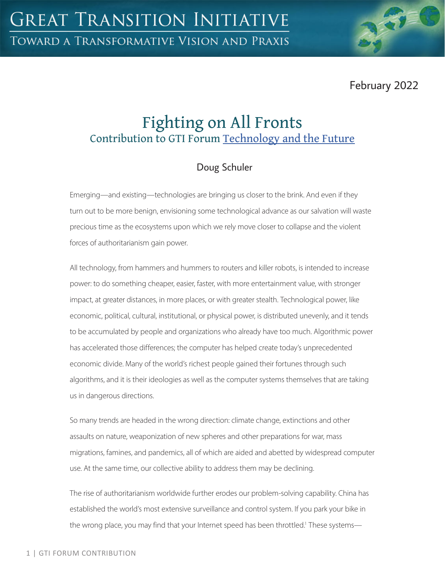February 2022

# Fighting on All Fronts Contribution to GTI Forum [Technology and the Future](https://greattransition.org/gti-forum/tech-and-the-future)

## Doug Schuler

Emerging—and existing—technologies are bringing us closer to the brink. And even if they turn out to be more benign, envisioning some technological advance as our salvation will waste precious time as the ecosystems upon which we rely move closer to collapse and the violent forces of authoritarianism gain power.

All technology, from hammers and hummers to routers and killer robots, is intended to increase power: to do something cheaper, easier, faster, with more entertainment value, with stronger impact, at greater distances, in more places, or with greater stealth. Technological power, like economic, political, cultural, institutional, or physical power, is distributed unevenly, and it tends to be accumulated by people and organizations who already have too much. Algorithmic power has accelerated those differences; the computer has helped create today's unprecedented economic divide. Many of the world's richest people gained their fortunes through such algorithms, and it is their ideologies as well as the computer systems themselves that are taking us in dangerous directions.

So many trends are headed in the wrong direction: climate change, extinctions and other assaults on nature, weaponization of new spheres and other preparations for war, mass migrations, famines, and pandemics, all of which are aided and abetted by widespread computer use. At the same time, our collective ability to address them may be declining.

The rise of authoritarianism worldwide further erodes our problem-solving capability. China has established the world's most extensive surveillance and control system. If you park your bike in the wrong place, you may find that your Internet speed has been throttled.<sup>1</sup> These systems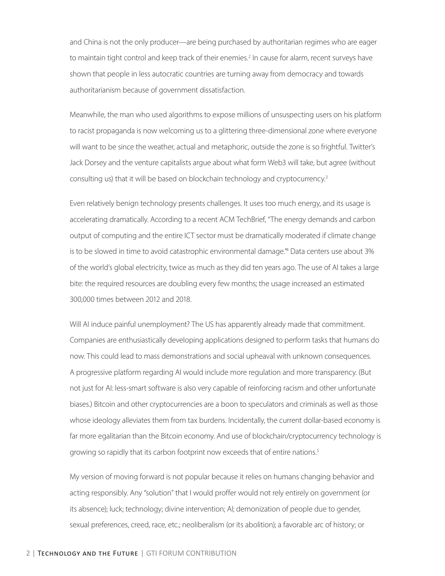and China is not the only producer—are being purchased by authoritarian regimes who are eager to maintain tight control and keep track of their enemies.<sup>2</sup> In cause for alarm, recent surveys have shown that people in less autocratic countries are turning away from democracy and towards authoritarianism because of government dissatisfaction.

Meanwhile, the man who used algorithms to expose millions of unsuspecting users on his platform to racist propaganda is now welcoming us to a glittering three-dimensional zone where everyone will want to be since the weather, actual and metaphoric, outside the zone is so frightful. Twitter's Jack Dorsey and the venture capitalists argue about what form Web3 will take, but agree (without consulting us) that it will be based on blockchain technology and cryptocurrency.3

Even relatively benign technology presents challenges. It uses too much energy, and its usage is accelerating dramatically. According to a recent ACM TechBrief, "The energy demands and carbon output of computing and the entire ICT sector must be dramatically moderated if climate change is to be slowed in time to avoid catastrophic environmental damage."4 Data centers use about 3% of the world's global electricity, twice as much as they did ten years ago. The use of AI takes a large bite: the required resources are doubling every few months; the usage increased an estimated 300,000 times between 2012 and 2018.

Will AI induce painful unemployment? The US has apparently already made that commitment. Companies are enthusiastically developing applications designed to perform tasks that humans do now. This could lead to mass demonstrations and social upheaval with unknown consequences. A progressive platform regarding AI would include more regulation and more transparency. (But not just for AI: less-smart software is also very capable of reinforcing racism and other unfortunate biases.) Bitcoin and other cryptocurrencies are a boon to speculators and criminals as well as those whose ideology alleviates them from tax burdens. Incidentally, the current dollar-based economy is far more egalitarian than the Bitcoin economy. And use of blockchain/cryptocurrency technology is growing so rapidly that its carbon footprint now exceeds that of entire nations.<sup>5</sup>

My version of moving forward is not popular because it relies on humans changing behavior and acting responsibly. Any "solution" that I would proffer would not rely entirely on government (or its absence); luck; technology; divine intervention; AI; demonization of people due to gender, sexual preferences, creed, race, etc.; neoliberalism (or its abolition); a favorable arc of history; or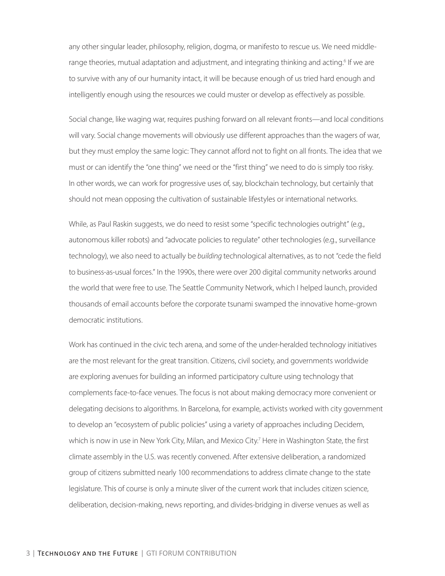any other singular leader, philosophy, religion, dogma, or manifesto to rescue us. We need middlerange theories, mutual adaptation and adjustment, and integrating thinking and acting.<sup>6</sup> If we are to survive with any of our humanity intact, it will be because enough of us tried hard enough and intelligently enough using the resources we could muster or develop as effectively as possible.

Social change, like waging war, requires pushing forward on all relevant fronts—and local conditions will vary. Social change movements will obviously use different approaches than the wagers of war, but they must employ the same logic: They cannot afford not to fight on all fronts. The idea that we must or can identify the "one thing" we need or the "first thing" we need to do is simply too risky. In other words, we can work for progressive uses of, say, blockchain technology, but certainly that should not mean opposing the cultivation of sustainable lifestyles or international networks.

While, as Paul Raskin suggests, we do need to resist some "specific technologies outright" (e.g., autonomous killer robots) and "advocate policies to regulate" other technologies (e.g., surveillance technology), we also need to actually be *building* technological alternatives, as to not "cede the field to business-as-usual forces." In the 1990s, there were over 200 digital community networks around the world that were free to use. The Seattle Community Network, which I helped launch, provided thousands of email accounts before the corporate tsunami swamped the innovative home-grown democratic institutions.

Work has continued in the civic tech arena, and some of the under-heralded technology initiatives are the most relevant for the great transition. Citizens, civil society, and governments worldwide are exploring avenues for building an informed participatory culture using technology that complements face-to-face venues. The focus is not about making democracy more convenient or delegating decisions to algorithms. In Barcelona, for example, activists worked with city government to develop an "ecosystem of public policies" using a variety of approaches including Decidem, which is now in use in New York City, Milan, and Mexico City.<sup>7</sup> Here in Washington State, the first climate assembly in the U.S. was recently convened. After extensive deliberation, a randomized group of citizens submitted nearly 100 recommendations to address climate change to the state legislature. This of course is only a minute sliver of the current work that includes citizen science, deliberation, decision-making, news reporting, and divides-bridging in diverse venues as well as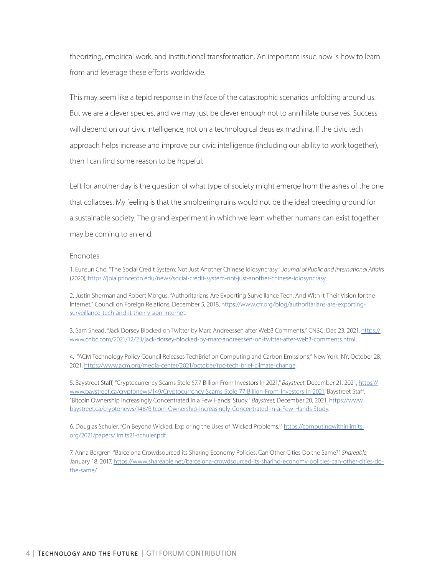theorizing, empirical work, and institutional transformation. An important issue now is how to learn from and leverage these efforts worldwide.

This may seem like a tepid response in the face of the catastrophic scenarios unfolding around us. But we are a clever species, and we may just be clever enough not to annihilate ourselves. Success will depend on our civic intelligence, not on a technological deus ex machina. If the civic tech approach helps increase and improve our civic intelligence (including our ability to work together), then I can find some reason to be hopeful.

Left for another day is the question of what type of society might emerge from the ashes of the one that collapses. My feeling is that the smoldering ruins would not be the ideal breeding ground for a sustainable society. The grand experiment in which we learn whether humans can exist together may be coming to an end.

#### Endnotes

1. Eunsun Cho, "The Social Credit System: Not Just Another Chinese Idiosyncrasy," *Journal of Public and International Affairs* (2020),<https://jpia.princeton.edu/news/social-credit-system-not-just-another-chinese-idiosyncrasy>.

2. Justin Sherman and Robert Morgus, "Authoritarians Are Exporting Surveillance Tech, And With it Their Vision for the Internet," Council on Foreign Relations, December 5, 2018, [https://www.cfr.org/blog/authoritarians-are-exporting](https://www.cfr.org/blog/authoritarians-are-exporting-surveillance-tech-and-it-their-vision-internet)[surveillance-tech-and-it-their-vision-internet.](https://www.cfr.org/blog/authoritarians-are-exporting-surveillance-tech-and-it-their-vision-internet)

3. Sam Shead. "Jack Dorsey Blocked on Twitter by Marc Andreessen after Web3 Comments," CNBC, Dec 23, 2021, [https://](https://www.cnbc.com/2021/12/23/jack-dorsey-blocked-by-marc-andreessen-on-twitter-after-web3-comments.html) [www.cnbc.com/2021/12/23/jack-dorsey-blocked-by-marc-andreessen-on-twitter-after-web3-comments.html](https://www.cnbc.com/2021/12/23/jack-dorsey-blocked-by-marc-andreessen-on-twitter-after-web3-comments.html).

4. "ACM Technology Policy Council Releases TechBrief on Computing and Carbon Emissions," New York, NY, October 28, 2021, [https://www.acm.org/media-center/2021/october/tpc-tech-brief-climate-change.](https://www.acm.org/media-center/2021/october/tpc-tech-brief-climate-change)

5. Baystreet Staff, "Cryptocurrency Scams Stole \$7.7 Billion From Investors In 2021," *Baystreet*, December 21, 2021, [https://](https://www.baystreet.ca/cryptonews/149/Cryptocurrency-Scams-Stole-77-Billion-From-Investors-In-2021) [www.baystreet.ca/cryptonews/149/Cryptocurrency-Scams-Stole-77-Billion-From-Investors-In-2021](https://www.baystreet.ca/cryptonews/149/Cryptocurrency-Scams-Stole-77-Billion-From-Investors-In-2021); Baystreet Staff, "Bitcoin Ownership Increasingly Concentrated In a Few Hands: Study," *Baystreet*, December 20, 2021, [https://www.](https://www.baystreet.ca/cryptonews/148/Bitcoin-Ownership-Increasingly-Concentrated-In-a-Few-Hands-Study) [baystreet.ca/cryptonews/148/Bitcoin-Ownership-Increasingly-Concentrated-In-a-Few-Hands-Study.](https://www.baystreet.ca/cryptonews/148/Bitcoin-Ownership-Increasingly-Concentrated-In-a-Few-Hands-Study)

6. Douglas Schuler, "On Beyond Wicked: Exploring the Uses of 'Wicked Problems," [https://computingwithinlimits.](https://computingwithinlimits.org/2021/papers/limits21-schuler.pdf) [org/2021/papers/limits21-schuler.pdf](https://computingwithinlimits.org/2021/papers/limits21-schuler.pdf).

7. Anna Bergren, "Barcelona Crowdsourced its Sharing Economy Policies. Can Other Cities Do the Same?" *Shareable*, January 18, 2017, [https://www.shareable.net/barcelona-crowdsourced-its-sharing-economy-policies-can-other-cities-do](https://www.shareable.net/barcelona-crowdsourced-its-sharing-economy-policies-can-other-cities-do-the-same/)[the-same/.](https://www.shareable.net/barcelona-crowdsourced-its-sharing-economy-policies-can-other-cities-do-the-same/)